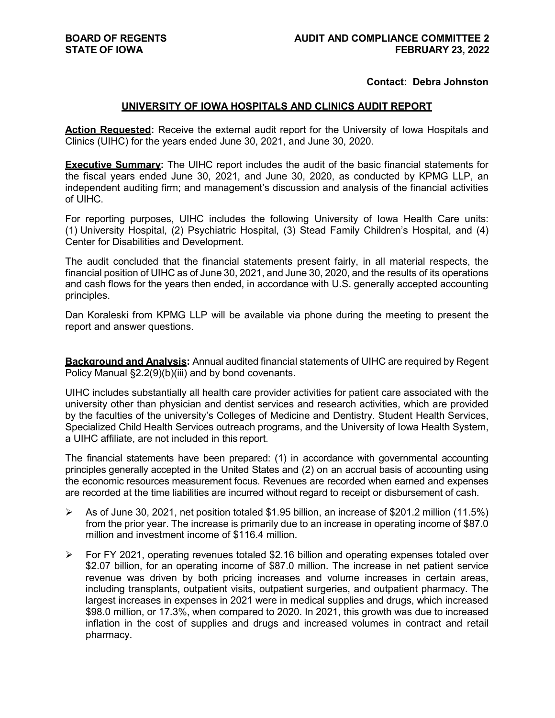## **Contact: Debra Johnston**

## **UNIVERSITY OF IOWA HOSPITALS AND CLINICS AUDIT REPORT**

Action Requested: Receive the external audit report for the University of Iowa Hospitals and Clinics (UIHC) for the years ended June 30, 2021, and June 30, 2020.

**Executive Summary:** The UIHC report includes the audit of the basic financial statements for the fiscal years ended June 30, 2021, and June 30, 2020, as conducted by KPMG LLP, an independent auditing firm; and management's discussion and analysis of the financial activities of UIHC.

For reporting purposes, UIHC includes the following University of Iowa Health Care units: (1) University Hospital, (2) Psychiatric Hospital, (3) Stead Family Children's Hospital, and (4) Center for Disabilities and Development.

The audit concluded that the financial statements present fairly, in all material respects, the financial position of UIHC as of June 30, 2021, and June 30, 2020, and the results of its operations and cash flows for the years then ended, in accordance with U.S. generally accepted accounting principles.

Dan Koraleski from KPMG LLP will be available via phone during the meeting to present the report and answer questions.

**Background and Analysis:** Annual audited financial statements of UIHC are required by Regent Policy Manual §2.2(9)(b)(iii) and by bond covenants.

UIHC includes substantially all health care provider activities for patient care associated with the university other than physician and dentist services and research activities, which are provided by the faculties of the university's Colleges of Medicine and Dentistry. Student Health Services, Specialized Child Health Services outreach programs, and the University of Iowa Health System, a UIHC affiliate, are not included in this report.

The financial statements have been prepared: (1) in accordance with governmental accounting principles generally accepted in the United States and (2) on an accrual basis of accounting using the economic resources measurement focus. Revenues are recorded when earned and expenses are recorded at the time liabilities are incurred without regard to receipt or disbursement of cash.

- $\triangleright$  As of June 30, 2021, net position totaled \$1.95 billion, an increase of \$201.2 million (11.5%) from the prior year. The increase is primarily due to an increase in operating income of \$87.0 million and investment income of \$116.4 million.
- $\triangleright$  For FY 2021, operating revenues totaled \$2.16 billion and operating expenses totaled over \$2.07 billion, for an operating income of \$87.0 million. The increase in net patient service revenue was driven by both pricing increases and volume increases in certain areas, including transplants, outpatient visits, outpatient surgeries, and outpatient pharmacy. The largest increases in expenses in 2021 were in medical supplies and drugs, which increased \$98.0 million, or 17.3%, when compared to 2020. In 2021, this growth was due to increased inflation in the cost of supplies and drugs and increased volumes in contract and retail pharmacy.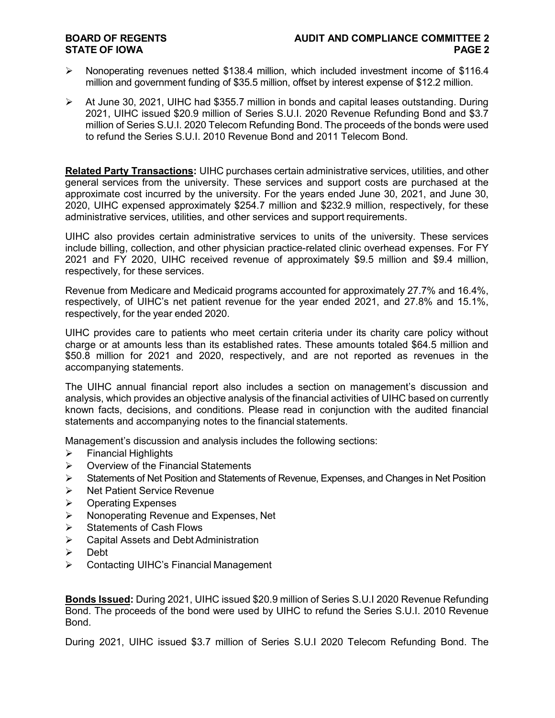## **STATE OF IOWA**

- $\triangleright$  Nonoperating revenues netted \$138.4 million, which included investment income of \$116.4 million and government funding of \$35.5 million, offset by interest expense of \$12.2 million.
- $\triangleright$  At June 30, 2021, UIHC had \$355.7 million in bonds and capital leases outstanding. During 2021, UIHC issued \$20.9 million of Series S.U.I. 2020 Revenue Refunding Bond and \$3.7 million of Series S.U.I. 2020 Telecom Refunding Bond. The proceeds of the bonds were used to refund the Series S.U.I. 2010 Revenue Bond and 2011 Telecom Bond.

**Related Party Transactions:** UIHC purchases certain administrative services, utilities, and other general services from the university. These services and support costs are purchased at the approximate cost incurred by the university. For the years ended June 30, 2021, and June 30, 2020, UIHC expensed approximately \$254.7 million and \$232.9 million, respectively, for these administrative services, utilities, and other services and support requirements.

UIHC also provides certain administrative services to units of the university. These services include billing, collection, and other physician practice-related clinic overhead expenses. For FY 2021 and FY 2020, UIHC received revenue of approximately \$9.5 million and \$9.4 million, respectively, for these services.

Revenue from Medicare and Medicaid programs accounted for approximately 27.7% and 16.4%, respectively, of UIHC's net patient revenue for the year ended 2021, and 27.8% and 15.1%, respectively, for the year ended 2020.

UIHC provides care to patients who meet certain criteria under its charity care policy without charge or at amounts less than its established rates. These amounts totaled \$64.5 million and \$50.8 million for 2021 and 2020, respectively, and are not reported as revenues in the accompanying statements.

The UIHC annual financial report also includes a section on management's discussion and analysis, which provides an objective analysis of the financial activities of UIHC based on currently known facts, decisions, and conditions. Please read in conjunction with the audited financial statements and accompanying notes to the financial statements.

Management's discussion and analysis includes the following sections:

- $\triangleright$  Financial Highlights
- $\triangleright$  Overview of the Financial Statements
- $\triangleright$  Statements of Net Position and Statements of Revenue, Expenses, and Changes in Net Position
- $\triangleright$  Net Patient Service Revenue
- $\triangleright$  Operating Expenses
- $\triangleright$  Nonoperating Revenue and Expenses, Net
- $\triangleright$  Statements of Cash Flows
- Capital Assets and Debt Administration
- > Debt
- Contacting UIHC's Financial Management

**Bonds Issued:** During 2021, UIHC issued \$20.9 million of Series S.U.I 2020 Revenue Refunding Bond. The proceeds of the bond were used by UIHC to refund the Series S.U.I. 2010 Revenue Bond.

During 2021, UIHC issued \$3.7 million of Series S.U.I 2020 Telecom Refunding Bond. The